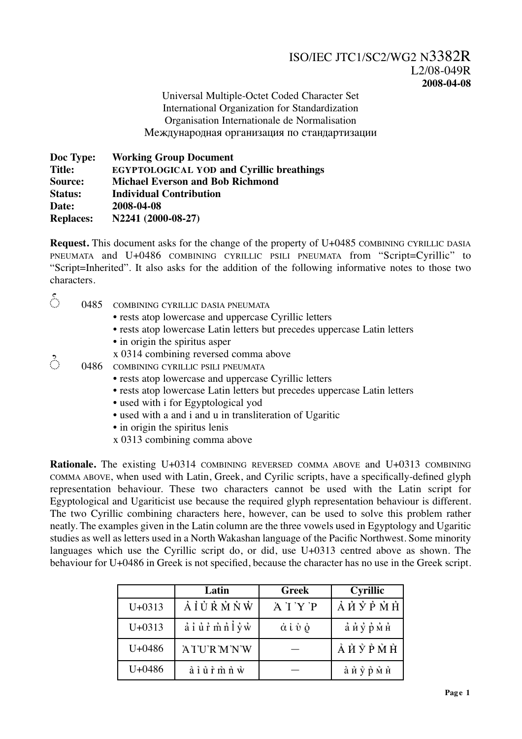Universal Multiple-Octet Coded Character Set International Organization for Standardization Organisation Internationale de Normalisation Международная организация по стандартизации

| Doc Type:        | <b>Working Group Document</b>                    |
|------------------|--------------------------------------------------|
| <b>Title:</b>    | <b>EGYPTOLOGICAL YOD and Cyrillic breathings</b> |
| Source:          | <b>Michael Everson and Bob Richmond</b>          |
| <b>Status:</b>   | <b>Individual Contribution</b>                   |
| Date:            | 2008-04-08                                       |
| <b>Replaces:</b> | N2241 (2000-08-27)                               |

**Request.** This document asks for the change of the property of U+0485 COMBINING CYRILLIC DASIA PNEUMATA and U+0486 COMBINING CYRILLIC PSILI PNEUMATA from "Script=Cyrillic" to "Script=Inherited". It also asks for the addition of the following informative notes to those two characters.

| ै | 0485 | COMBINING CYRILLIC DASIA PNEUMATA                                         |
|---|------|---------------------------------------------------------------------------|
|   |      | • rests atop lowercase and uppercase Cyrillic letters                     |
|   |      | • rests atop lowercase Latin letters but precedes uppercase Latin letters |
|   |      | • in origin the spiritus asper                                            |
|   |      | x 0314 combining reversed comma above                                     |
| ै | 0486 | COMBINING CYRILLIC PSILI PNEUMATA                                         |
|   |      | • rests atop lowercase and uppercase Cyrillic letters                     |
|   |      | • rests atop lowercase Latin letters but precedes uppercase Latin letters |
|   |      | • used with i for Egyptological yod                                       |
|   |      | • used with a and i and u in transliteration of Ugaritic                  |
|   |      | • in origin the spiritus lenis                                            |

x 0313 combining comma above

**Rationale.** The existing U+0314 COMBINING REVERSED COMMA ABOVE and U+0313 COMBINING COMMA ABOVE, when used with Latin, Greek, and Cyrilic scripts, have a specifically-defined glyph representation behaviour. These two characters cannot be used with the Latin script for Egyptological and Ugariticist use because the required glyph representation behaviour is different. The two Cyrillic combining characters here, however, can be used to solve this problem rather neatly. The examples given in the Latin column are the three vowels used in Egyptology and Ugaritic studies as well as letters used in a North Wakashan language of the Pacific Northwest. Some minority languages which use the Cyrillic script do, or did, use U+0313 centred above as shown. The behaviour for U+0486 in Greek is not specified, because the character has no use in the Greek script.

|            | Latin                                                                                     | <b>Greek</b>                              | <b>Cyrillic</b>         |
|------------|-------------------------------------------------------------------------------------------|-------------------------------------------|-------------------------|
| $U + 0313$ | AUCRMNW                                                                                   | A 'I 'Y 'P                                | <i>АЙ</i> УРМН          |
| $U + 0313$ | $\vec{a}$ $\vec{i}$ $\vec{u}$ $\vec{r}$ $\vec{m}$ $\vec{n}$ $\vec{l}$ $\vec{y}$ $\vec{w}$ | $\dot{\alpha}$ ί $\dot{\nu}$ $\dot{\rho}$ | айурмн                  |
| $U + 0486$ | ATURMNW                                                                                   |                                           | ÀЙ Ў РМН                |
| $U + 0486$ | à ỉ ủ r m n w                                                                             |                                           | <i>а̀ и</i> у̀ р̀ м̀ н̀ |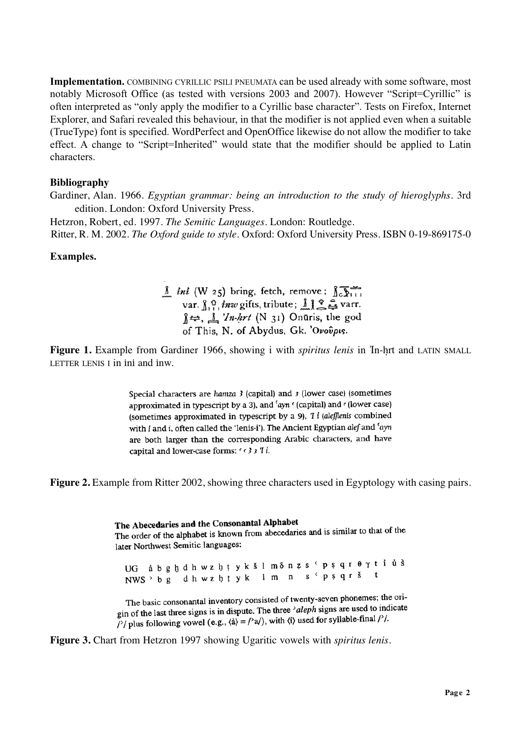**Implementation.** COMBINING CYRILLIC PSILI PNEUMATA can be used already with some software, most notably Microsoft Office (as tested with versions 2003 and 2007). However "Script=Cyrillic" is often interpreted as "only apply the modifier to a Cyrillic base character". Tests on Firefox, Internet Explorer, and Safari revealed this behaviour, in that the modifier is not applied even when a suitable (TrueType) font is specified. WordPerfect and OpenOffice likewise do not allow the modifier to take effect. A change to "Script=Inherited" would state that the modifier should be applied to Latin characters.

## **Bibliography**

Gardiner, Alan. 1966. *Egyptian grammar: being an introduction to the study of hieroglyphs.* 3rd edition. London: Oxford University Press.

Hetzron, Robert, ed. 1997. *The Semitic Languages*. London: Routledge. Ritter, R. M. 2002. *The Oxford guide to style.* Oxford: Oxford University Press. ISBN 0-19-869175-0

## **Examples.**

 $\underline{\text{int}}$  *ini* (W 25) bring, fetch, remove;  $\int_{C} \overline{\text{int}}$ <br>var.  $\int_{1}^{0}$ *inw* gifts, tribute;  $\underline{\text{int}}$   $\underline{\text{int}}$  varr.  $\frac{1}{2}$   $\frac{1}{2}$  'In-hrt (N 31) Onūris, the god of This, N. of Abydus, Gk. 'Ονούρις.

**Figure 1.** Example from Gardiner 1966, showing i with *spiritus lenis* in Tn-hrt and LATIN SMALL LETTER LENIS I in ini and inw.

> Special characters are hamza  $3$  (capital) and  $3$  (lower case) (sometimes approximated in typescript by a 3), and 'ayn ' (capital) and ' (lower case) (sometimes approximated in typescript by a 9),  $\overline{1}$  *i* (aleflenis combined with I and i, often called the 'lenis-i'). The Ancient Egyptian alef and 'ayn are both larger than the corresponding Arabic characters, and have capital and lower-case forms: ' < 3 3 'I i.

**Figure 2.** Example from Ritter 2002, showing three characters used in Egyptology with casing pairs.

The Abecedaries and the Consonantal Alphabet The Abecedaries and the Consonantal Alphabet<br>The order of the alphabet is known from abecedaries and is similar to that of the later Northwest Semitic languages:

UG à b g h d h w z h t y k š l m δ n z s ' p ş q r θ γ t i ù s NWS bg dhwzhtyk lm n s psqršt

The basic consonantal inventory consisted of twenty-seven phonemes; the ori-The basic consonantal inventory consisted of them, seven procedure<br>gin of the last three signs is in dispute. The three 'aleph signs are used to indicate gin of the last three signs is in displace. The lines and property of the lines ( $\frac{1}{2}$ ),  $\frac{1}{2}$  ( $\frac{1}{2}$ ), with  $\frac{1}{2}$ ) used for syllable-final  $\frac{1}{2}$ .

**Figure 3.** Chart from Hetzron 1997 showing Ugaritic vowels with *spiritus lenis*.